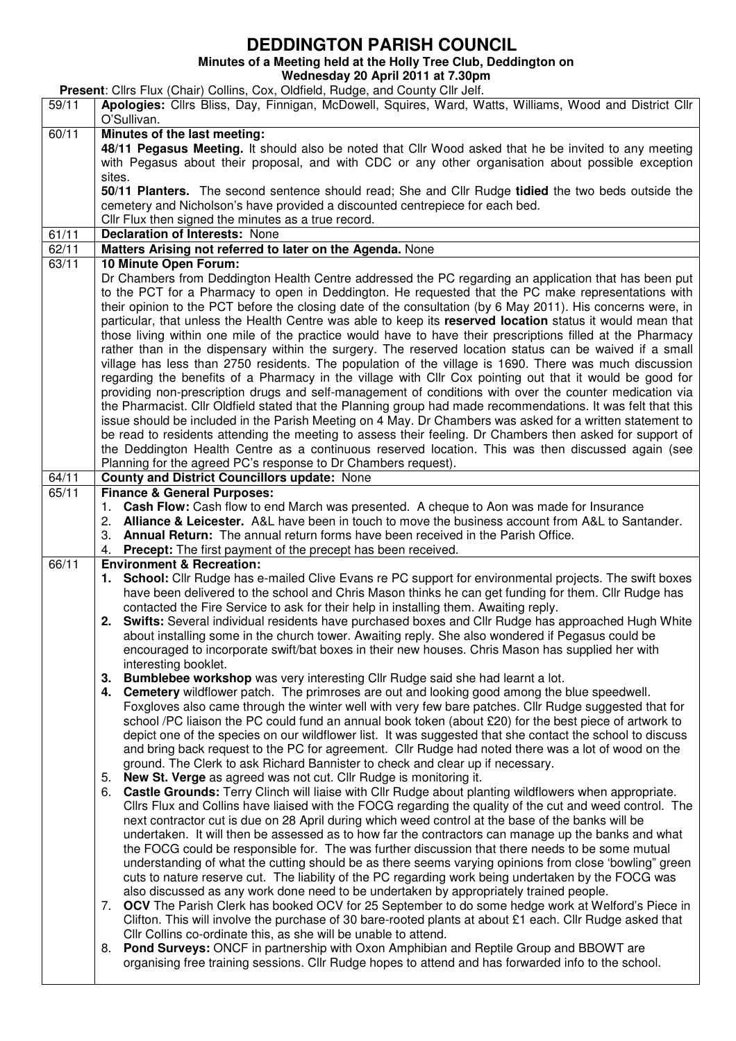## **DEDDINGTON PARISH COUNCIL**

**Minutes of a Meeting held at the Holly Tree Club, Deddington on** 

**Wednesday 20 April 2011 at 7.30pm** 

**Present**: Cllrs Flux (Chair) Collins, Cox, Oldfield, Rudge, and County Cllr Jelf.

| 59/11 | Apologies: Cllrs Bliss, Day, Finnigan, McDowell, Squires, Ward, Watts, Williams, Wood and District Cllr                                                                                                       |
|-------|---------------------------------------------------------------------------------------------------------------------------------------------------------------------------------------------------------------|
|       | O'Sullivan.                                                                                                                                                                                                   |
| 60/11 | Minutes of the last meeting:                                                                                                                                                                                  |
|       | 48/11 Pegasus Meeting. It should also be noted that Cllr Wood asked that he be invited to any meeting                                                                                                         |
|       | with Pegasus about their proposal, and with CDC or any other organisation about possible exception<br>sites.                                                                                                  |
|       | 50/11 Planters. The second sentence should read; She and Cllr Rudge tidied the two beds outside the                                                                                                           |
|       | cemetery and Nicholson's have provided a discounted centrepiece for each bed.                                                                                                                                 |
|       | Cllr Flux then signed the minutes as a true record.                                                                                                                                                           |
| 61/11 | <b>Declaration of Interests: None</b>                                                                                                                                                                         |
| 62/11 | Matters Arising not referred to later on the Agenda. None                                                                                                                                                     |
| 63/11 | 10 Minute Open Forum:                                                                                                                                                                                         |
|       | Dr Chambers from Deddington Health Centre addressed the PC regarding an application that has been put                                                                                                         |
|       | to the PCT for a Pharmacy to open in Deddington. He requested that the PC make representations with                                                                                                           |
|       | their opinion to the PCT before the closing date of the consultation (by 6 May 2011). His concerns were, in                                                                                                   |
|       | particular, that unless the Health Centre was able to keep its reserved location status it would mean that                                                                                                    |
|       | those living within one mile of the practice would have to have their prescriptions filled at the Pharmacy                                                                                                    |
|       | rather than in the dispensary within the surgery. The reserved location status can be waived if a small                                                                                                       |
|       | village has less than 2750 residents. The population of the village is 1690. There was much discussion                                                                                                        |
|       | regarding the benefits of a Pharmacy in the village with Cllr Cox pointing out that it would be good for                                                                                                      |
|       | providing non-prescription drugs and self-management of conditions with over the counter medication via                                                                                                       |
|       | the Pharmacist. Cllr Oldfield stated that the Planning group had made recommendations. It was felt that this                                                                                                  |
|       | issue should be included in the Parish Meeting on 4 May. Dr Chambers was asked for a written statement to                                                                                                     |
|       | be read to residents attending the meeting to assess their feeling. Dr Chambers then asked for support of                                                                                                     |
|       | the Deddington Health Centre as a continuous reserved location. This was then discussed again (see                                                                                                            |
|       | Planning for the agreed PC's response to Dr Chambers request).                                                                                                                                                |
| 64/11 | <b>County and District Councillors update: None</b>                                                                                                                                                           |
| 65/11 | <b>Finance &amp; General Purposes:</b>                                                                                                                                                                        |
|       | 1. Cash Flow: Cash flow to end March was presented. A cheque to Aon was made for Insurance                                                                                                                    |
|       | 2. Alliance & Leicester. A&L have been in touch to move the business account from A&L to Santander.                                                                                                           |
|       | 3. Annual Return: The annual return forms have been received in the Parish Office.<br>4.                                                                                                                      |
| 66/11 | Precept: The first payment of the precept has been received.<br><b>Environment &amp; Recreation:</b>                                                                                                          |
|       | 1. School: Cllr Rudge has e-mailed Clive Evans re PC support for environmental projects. The swift boxes                                                                                                      |
|       | have been delivered to the school and Chris Mason thinks he can get funding for them. Cllr Rudge has                                                                                                          |
|       | contacted the Fire Service to ask for their help in installing them. Awaiting reply.                                                                                                                          |
|       | 2. Swifts: Several individual residents have purchased boxes and Cllr Rudge has approached Hugh White                                                                                                         |
|       | about installing some in the church tower. Awaiting reply. She also wondered if Pegasus could be                                                                                                              |
|       | encouraged to incorporate swift/bat boxes in their new houses. Chris Mason has supplied her with                                                                                                              |
|       | interesting booklet.                                                                                                                                                                                          |
|       | 3.<br>Bumblebee workshop was very interesting Cllr Rudge said she had learnt a lot.                                                                                                                           |
|       | 4. Cemetery wildflower patch. The primroses are out and looking good among the blue speedwell.                                                                                                                |
|       | Foxgloves also came through the winter well with very few bare patches. Cllr Rudge suggested that for                                                                                                         |
|       | school /PC liaison the PC could fund an annual book token (about £20) for the best piece of artwork to                                                                                                        |
|       | depict one of the species on our wildflower list. It was suggested that she contact the school to discuss                                                                                                     |
|       | and bring back request to the PC for agreement. Cllr Rudge had noted there was a lot of wood on the                                                                                                           |
|       | ground. The Clerk to ask Richard Bannister to check and clear up if necessary.                                                                                                                                |
|       | <b>New St. Verge</b> as agreed was not cut. Cllr Rudge is monitoring it.<br>5.                                                                                                                                |
|       | Castle Grounds: Terry Clinch will liaise with Cllr Rudge about planting wildflowers when appropriate.<br>6.                                                                                                   |
|       | Cllrs Flux and Collins have liaised with the FOCG regarding the quality of the cut and weed control. The<br>next contractor cut is due on 28 April during which weed control at the base of the banks will be |
|       | undertaken. It will then be assessed as to how far the contractors can manage up the banks and what                                                                                                           |
|       | the FOCG could be responsible for. The was further discussion that there needs to be some mutual                                                                                                              |
|       | understanding of what the cutting should be as there seems varying opinions from close 'bowling" green                                                                                                        |
|       | cuts to nature reserve cut. The liability of the PC regarding work being undertaken by the FOCG was                                                                                                           |
|       | also discussed as any work done need to be undertaken by appropriately trained people.                                                                                                                        |
|       | OCV The Parish Clerk has booked OCV for 25 September to do some hedge work at Welford's Piece in<br>7.                                                                                                        |
|       | Clifton. This will involve the purchase of 30 bare-rooted plants at about £1 each. Cllr Rudge asked that                                                                                                      |
|       | Cllr Collins co-ordinate this, as she will be unable to attend.                                                                                                                                               |
|       | Pond Surveys: ONCF in partnership with Oxon Amphibian and Reptile Group and BBOWT are<br>8.                                                                                                                   |
|       | organising free training sessions. Cllr Rudge hopes to attend and has forwarded info to the school.                                                                                                           |
|       |                                                                                                                                                                                                               |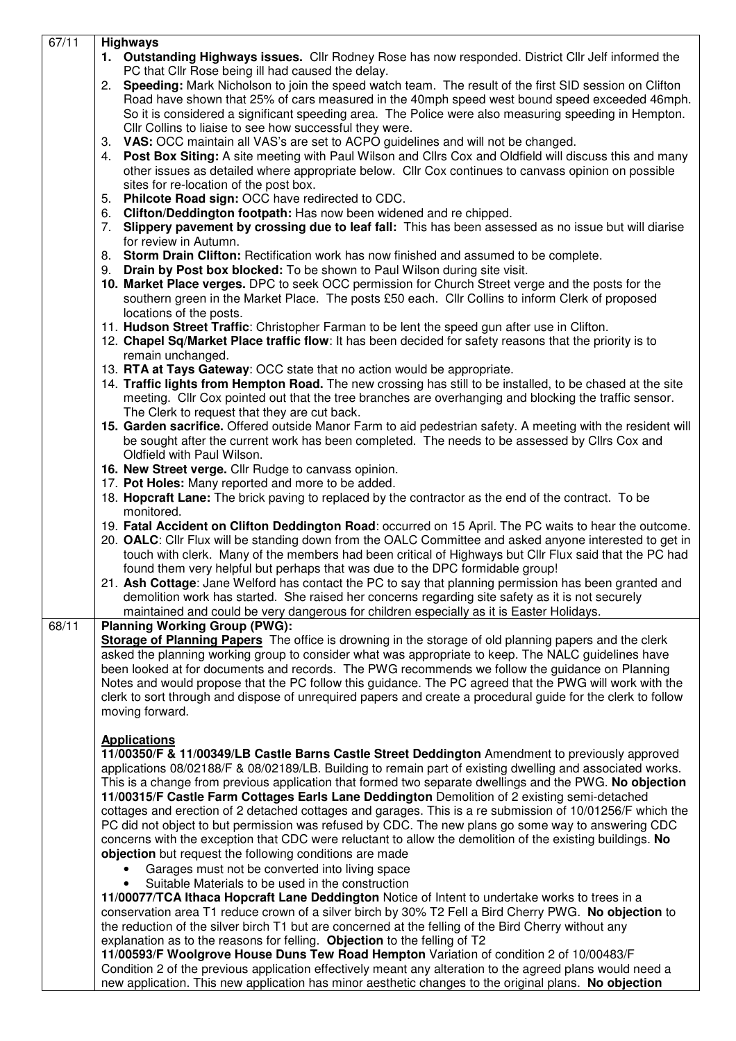| 67/11 | <b>Highways</b>                                                                                                                                                                                                    |
|-------|--------------------------------------------------------------------------------------------------------------------------------------------------------------------------------------------------------------------|
|       | 1. Outstanding Highways issues. Cllr Rodney Rose has now responded. District Cllr Jelf informed the                                                                                                                |
|       | PC that Cllr Rose being ill had caused the delay.                                                                                                                                                                  |
|       | 2. Speeding: Mark Nicholson to join the speed watch team. The result of the first SID session on Clifton                                                                                                           |
|       | Road have shown that 25% of cars measured in the 40mph speed west bound speed exceeded 46mph.                                                                                                                      |
|       | So it is considered a significant speeding area. The Police were also measuring speeding in Hempton.                                                                                                               |
|       | Cllr Collins to liaise to see how successful they were.                                                                                                                                                            |
|       | 3. VAS: OCC maintain all VAS's are set to ACPO guidelines and will not be changed.                                                                                                                                 |
|       |                                                                                                                                                                                                                    |
|       | 4. Post Box Siting: A site meeting with Paul Wilson and Cllrs Cox and Oldfield will discuss this and many                                                                                                          |
|       | other issues as detailed where appropriate below. Cllr Cox continues to canvass opinion on possible                                                                                                                |
|       | sites for re-location of the post box.                                                                                                                                                                             |
|       | 5. Philcote Road sign: OCC have redirected to CDC.                                                                                                                                                                 |
|       | 6. Clifton/Deddington footpath: Has now been widened and re chipped.                                                                                                                                               |
|       | Slippery pavement by crossing due to leaf fall: This has been assessed as no issue but will diarise<br>7.                                                                                                          |
|       | for review in Autumn.                                                                                                                                                                                              |
|       | 8. Storm Drain Clifton: Rectification work has now finished and assumed to be complete.                                                                                                                            |
|       | 9. Drain by Post box blocked: To be shown to Paul Wilson during site visit.                                                                                                                                        |
|       |                                                                                                                                                                                                                    |
|       | 10. Market Place verges. DPC to seek OCC permission for Church Street verge and the posts for the                                                                                                                  |
|       | southern green in the Market Place. The posts £50 each. Cllr Collins to inform Clerk of proposed                                                                                                                   |
|       | locations of the posts.                                                                                                                                                                                            |
|       | 11. Hudson Street Traffic: Christopher Farman to be lent the speed gun after use in Clifton.                                                                                                                       |
|       | 12. Chapel Sq/Market Place traffic flow: It has been decided for safety reasons that the priority is to                                                                                                            |
|       | remain unchanged.                                                                                                                                                                                                  |
|       | 13. RTA at Tays Gateway: OCC state that no action would be appropriate.                                                                                                                                            |
|       | 14. Traffic lights from Hempton Road. The new crossing has still to be installed, to be chased at the site                                                                                                         |
|       |                                                                                                                                                                                                                    |
|       | meeting. Cllr Cox pointed out that the tree branches are overhanging and blocking the traffic sensor.                                                                                                              |
|       | The Clerk to request that they are cut back.                                                                                                                                                                       |
|       | 15. Garden sacrifice. Offered outside Manor Farm to aid pedestrian safety. A meeting with the resident will                                                                                                        |
|       | be sought after the current work has been completed. The needs to be assessed by Cllrs Cox and                                                                                                                     |
|       | Oldfield with Paul Wilson.                                                                                                                                                                                         |
|       | 16. New Street verge. Cllr Rudge to canvass opinion.                                                                                                                                                               |
|       | 17. Pot Holes: Many reported and more to be added.                                                                                                                                                                 |
|       | 18. Hopcraft Lane: The brick paving to replaced by the contractor as the end of the contract. To be                                                                                                                |
|       | monitored.                                                                                                                                                                                                         |
|       |                                                                                                                                                                                                                    |
|       | 19. Fatal Accident on Clifton Deddington Road: occurred on 15 April. The PC waits to hear the outcome.                                                                                                             |
|       | 20. OALC: Cllr Flux will be standing down from the OALC Committee and asked anyone interested to get in                                                                                                            |
|       | touch with clerk. Many of the members had been critical of Highways but Cllr Flux said that the PC had                                                                                                             |
|       | found them very helpful but perhaps that was due to the DPC formidable group!                                                                                                                                      |
|       | 21. Ash Cottage: Jane Welford has contact the PC to say that planning permission has been granted and                                                                                                              |
|       | demolition work has started. She raised her concerns regarding site safety as it is not securely                                                                                                                   |
|       | maintained and could be very dangerous for children especially as it is Easter Holidays.                                                                                                                           |
| 68/11 | <b>Planning Working Group (PWG):</b>                                                                                                                                                                               |
|       | Storage of Planning Papers The office is drowning in the storage of old planning papers and the clerk                                                                                                              |
|       | asked the planning working group to consider what was appropriate to keep. The NALC guidelines have                                                                                                                |
|       | been looked at for documents and records. The PWG recommends we follow the guidance on Planning                                                                                                                    |
|       |                                                                                                                                                                                                                    |
|       | Notes and would propose that the PC follow this guidance. The PC agreed that the PWG will work with the                                                                                                            |
|       | clerk to sort through and dispose of unrequired papers and create a procedural guide for the clerk to follow                                                                                                       |
|       | moving forward.                                                                                                                                                                                                    |
|       |                                                                                                                                                                                                                    |
|       | <b>Applications</b>                                                                                                                                                                                                |
|       | 11/00350/F & 11/00349/LB Castle Barns Castle Street Deddington Amendment to previously approved                                                                                                                    |
|       | applications 08/02188/F & 08/02189/LB. Building to remain part of existing dwelling and associated works.                                                                                                          |
|       | This is a change from previous application that formed two separate dwellings and the PWG. No objection                                                                                                            |
|       | 11/00315/F Castle Farm Cottages Earls Lane Deddington Demolition of 2 existing semi-detached                                                                                                                       |
|       | cottages and erection of 2 detached cottages and garages. This is a re submission of 10/01256/F which the                                                                                                          |
|       |                                                                                                                                                                                                                    |
|       | PC did not object to but permission was refused by CDC. The new plans go some way to answering CDC                                                                                                                 |
|       | concerns with the exception that CDC were reluctant to allow the demolition of the existing buildings. No                                                                                                          |
|       | objection but request the following conditions are made                                                                                                                                                            |
|       | Garages must not be converted into living space                                                                                                                                                                    |
|       | Suitable Materials to be used in the construction                                                                                                                                                                  |
|       | 11/00077/TCA Ithaca Hopcraft Lane Deddington Notice of Intent to undertake works to trees in a                                                                                                                     |
|       | conservation area T1 reduce crown of a silver birch by 30% T2 Fell a Bird Cherry PWG. No objection to                                                                                                              |
|       | the reduction of the silver birch T1 but are concerned at the felling of the Bird Cherry without any                                                                                                               |
|       |                                                                                                                                                                                                                    |
|       | explanation as to the reasons for felling. Objection to the felling of T2                                                                                                                                          |
|       |                                                                                                                                                                                                                    |
|       | 11/00593/F Woolgrove House Duns Tew Road Hempton Variation of condition 2 of 10/00483/F                                                                                                                            |
|       | Condition 2 of the previous application effectively meant any alteration to the agreed plans would need a<br>new application. This new application has minor aesthetic changes to the original plans. No objection |

 $\mathsf{l}$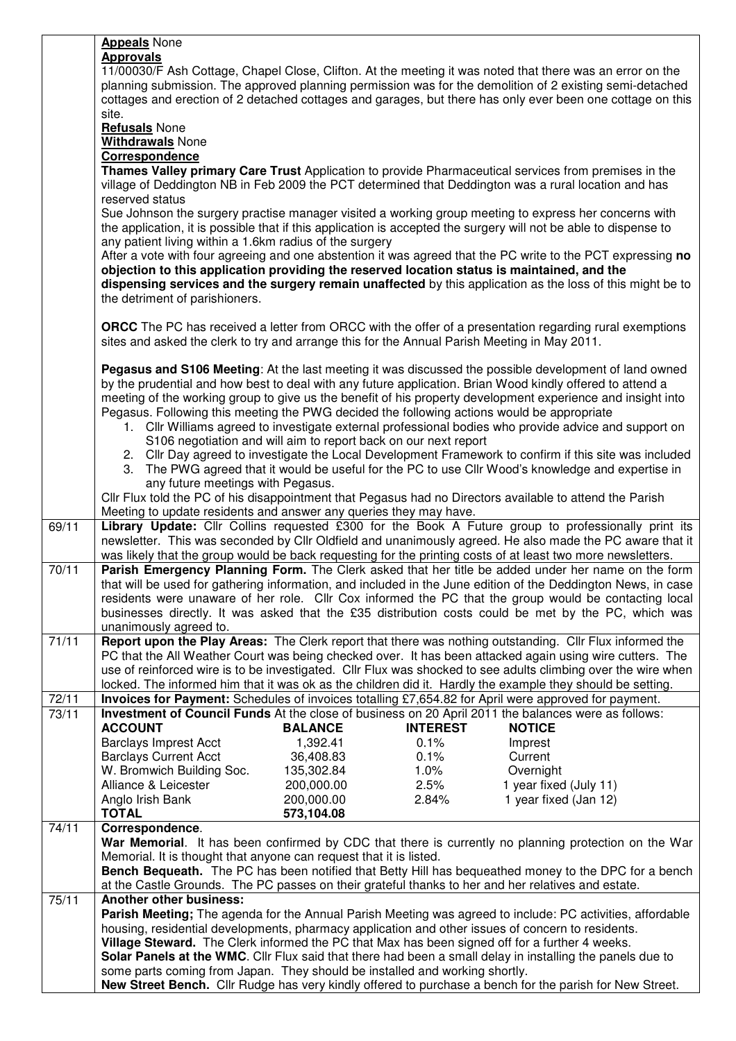|       | <b>Appeals</b> None                                                                                                                                                                    |
|-------|----------------------------------------------------------------------------------------------------------------------------------------------------------------------------------------|
|       | <b>Approvals</b>                                                                                                                                                                       |
|       | 11/00030/F Ash Cottage, Chapel Close, Clifton. At the meeting it was noted that there was an error on the                                                                              |
|       | planning submission. The approved planning permission was for the demolition of 2 existing semi-detached                                                                               |
|       | cottages and erection of 2 detached cottages and garages, but there has only ever been one cottage on this                                                                             |
|       | site.                                                                                                                                                                                  |
|       |                                                                                                                                                                                        |
|       | <b>Refusals</b> None                                                                                                                                                                   |
|       | <b>Withdrawals None</b>                                                                                                                                                                |
|       | Correspondence                                                                                                                                                                         |
|       | Thames Valley primary Care Trust Application to provide Pharmaceutical services from premises in the                                                                                   |
|       | village of Deddington NB in Feb 2009 the PCT determined that Deddington was a rural location and has                                                                                   |
|       | reserved status                                                                                                                                                                        |
|       | Sue Johnson the surgery practise manager visited a working group meeting to express her concerns with                                                                                  |
|       | the application, it is possible that if this application is accepted the surgery will not be able to dispense to                                                                       |
|       | any patient living within a 1.6km radius of the surgery                                                                                                                                |
|       | After a vote with four agreeing and one abstention it was agreed that the PC write to the PCT expressing no                                                                            |
|       |                                                                                                                                                                                        |
|       | objection to this application providing the reserved location status is maintained, and the                                                                                            |
|       | dispensing services and the surgery remain unaffected by this application as the loss of this might be to                                                                              |
|       | the detriment of parishioners.                                                                                                                                                         |
|       |                                                                                                                                                                                        |
|       | <b>ORCC</b> The PC has received a letter from ORCC with the offer of a presentation regarding rural exemptions                                                                         |
|       | sites and asked the clerk to try and arrange this for the Annual Parish Meeting in May 2011.                                                                                           |
|       |                                                                                                                                                                                        |
|       | Pegasus and S106 Meeting: At the last meeting it was discussed the possible development of land owned                                                                                  |
|       | by the prudential and how best to deal with any future application. Brian Wood kindly offered to attend a                                                                              |
|       |                                                                                                                                                                                        |
|       | meeting of the working group to give us the benefit of his property development experience and insight into                                                                            |
|       | Pegasus. Following this meeting the PWG decided the following actions would be appropriate                                                                                             |
|       | 1. Cllr Williams agreed to investigate external professional bodies who provide advice and support on                                                                                  |
|       | S106 negotiation and will aim to report back on our next report                                                                                                                        |
|       | 2. Cllr Day agreed to investigate the Local Development Framework to confirm if this site was included                                                                                 |
|       | The PWG agreed that it would be useful for the PC to use Cllr Wood's knowledge and expertise in<br>3.                                                                                  |
|       | any future meetings with Pegasus.                                                                                                                                                      |
|       | Cllr Flux told the PC of his disappointment that Pegasus had no Directors available to attend the Parish                                                                               |
|       | Meeting to update residents and answer any queries they may have.                                                                                                                      |
| 69/11 | Library Update: Cllr Collins requested £300 for the Book A Future group to professionally print its                                                                                    |
|       | newsletter. This was seconded by Cllr Oldfield and unanimously agreed. He also made the PC aware that it                                                                               |
|       | was likely that the group would be back requesting for the printing costs of at least two more newsletters.                                                                            |
| 70/11 | Parish Emergency Planning Form. The Clerk asked that her title be added under her name on the form                                                                                     |
|       |                                                                                                                                                                                        |
|       | that will be used for gathering information, and included in the June edition of the Deddington News, in case                                                                          |
|       | residents were unaware of her role. Cllr Cox informed the PC that the group would be contacting local                                                                                  |
|       | businesses directly. It was asked that the £35 distribution costs could be met by the PC, which was                                                                                    |
|       |                                                                                                                                                                                        |
|       | unanimously agreed to.                                                                                                                                                                 |
| 71/11 | Report upon the Play Areas: The Clerk report that there was nothing outstanding. Cllr Flux informed the                                                                                |
|       | PC that the All Weather Court was being checked over. It has been attacked again using wire cutters. The                                                                               |
|       | use of reinforced wire is to be investigated. Cllr Flux was shocked to see adults climbing over the wire when                                                                          |
|       |                                                                                                                                                                                        |
|       | locked. The informed him that it was ok as the children did it. Hardly the example they should be setting.                                                                             |
| 72/11 | Invoices for Payment: Schedules of invoices totalling £7,654.82 for April were approved for payment.                                                                                   |
| 73/11 | Investment of Council Funds At the close of business on 20 April 2011 the balances were as follows:                                                                                    |
|       | <b>ACCOUNT</b><br><b>BALANCE</b><br><b>INTEREST</b><br><b>NOTICE</b>                                                                                                                   |
|       | <b>Barclays Imprest Acct</b><br>1,392.41<br>0.1%<br>Imprest                                                                                                                            |
|       | <b>Barclays Current Acct</b><br>0.1%<br>36,408.83<br>Current                                                                                                                           |
|       | $1.0\%$<br>W. Bromwich Building Soc.<br>Overnight<br>135,302.84                                                                                                                        |
|       | 2.5%<br>1 year fixed (July 11)<br>Alliance & Leicester<br>200,000.00                                                                                                                   |
|       | 200,000.00<br>Anglo Irish Bank<br>2.84%<br>1 year fixed (Jan 12)                                                                                                                       |
|       | <b>TOTAL</b><br>573,104.08                                                                                                                                                             |
| 74/11 | Correspondence.                                                                                                                                                                        |
|       | War Memorial. It has been confirmed by CDC that there is currently no planning protection on the War                                                                                   |
|       |                                                                                                                                                                                        |
|       | Memorial. It is thought that anyone can request that it is listed.                                                                                                                     |
|       | Bench Bequeath. The PC has been notified that Betty Hill has bequeathed money to the DPC for a bench                                                                                   |
|       | at the Castle Grounds. The PC passes on their grateful thanks to her and her relatives and estate.                                                                                     |
| 75/11 | Another other business:                                                                                                                                                                |
|       | Parish Meeting; The agenda for the Annual Parish Meeting was agreed to include: PC activities, affordable                                                                              |
|       | housing, residential developments, pharmacy application and other issues of concern to residents.                                                                                      |
|       | Village Steward. The Clerk informed the PC that Max has been signed off for a further 4 weeks.                                                                                         |
|       | Solar Panels at the WMC. Cllr Flux said that there had been a small delay in installing the panels due to                                                                              |
|       | some parts coming from Japan. They should be installed and working shortly.<br>New Street Bench. Cllr Rudge has very kindly offered to purchase a bench for the parish for New Street. |